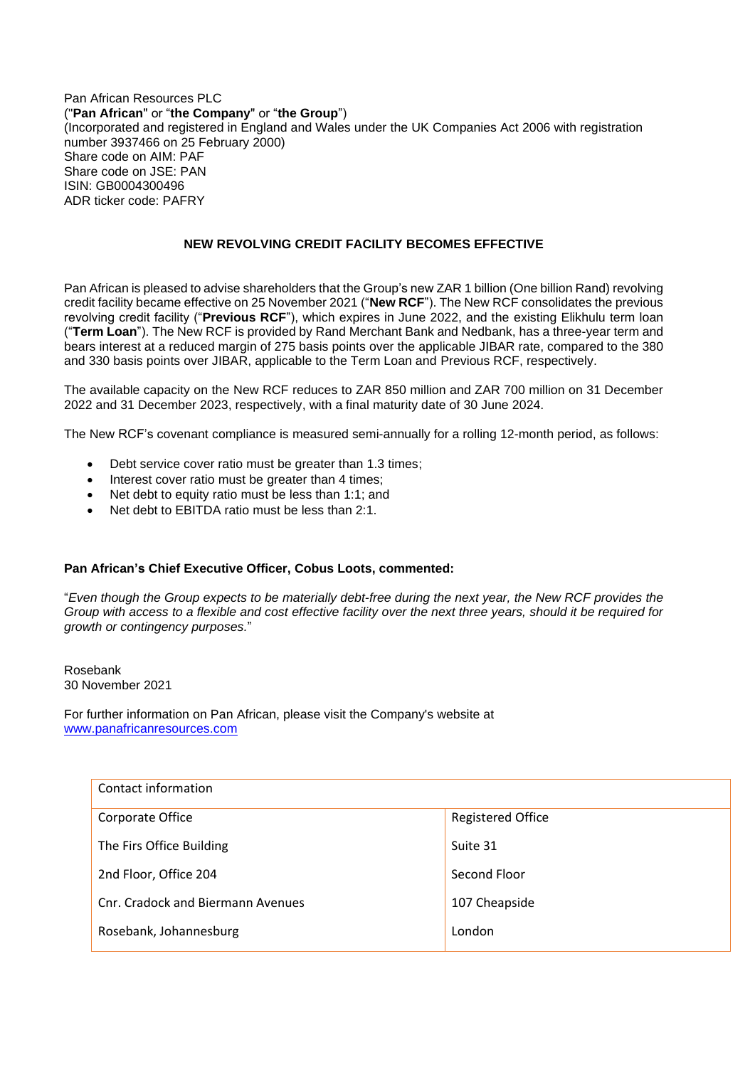## Pan African Resources PLC ("**Pan African**" or "**the Company**" or "**the Group**") (Incorporated and registered in England and Wales under the UK Companies Act 2006 with registration number 3937466 on 25 February 2000) Share code on AIM: PAF Share code on JSE: PAN ISIN: GB0004300496 ADR ticker code: PAFRY

## **NEW REVOLVING CREDIT FACILITY BECOMES EFFECTIVE**

Pan African is pleased to advise shareholders that the Group's new ZAR 1 billion (One billion Rand) revolving credit facility became effective on 25 November 2021 ("**New RCF**"). The New RCF consolidates the previous revolving credit facility ("**Previous RCF**"), which expires in June 2022, and the existing Elikhulu term loan ("**Term Loan**"). The New RCF is provided by Rand Merchant Bank and Nedbank, has a three-year term and bears interest at a reduced margin of 275 basis points over the applicable JIBAR rate, compared to the 380 and 330 basis points over JIBAR, applicable to the Term Loan and Previous RCF, respectively.

The available capacity on the New RCF reduces to ZAR 850 million and ZAR 700 million on 31 December 2022 and 31 December 2023, respectively, with a final maturity date of 30 June 2024.

The New RCF's covenant compliance is measured semi-annually for a rolling 12-month period, as follows:

- Debt service cover ratio must be greater than 1.3 times;
- Interest cover ratio must be greater than 4 times;
- Net debt to equity ratio must be less than 1:1; and
- Net debt to EBITDA ratio must be less than 2:1.

## **Pan African's Chief Executive Officer, Cobus Loots, commented:**

"*Even though the Group expects to be materially debt-free during the next year, the New RCF provides the Group with access to a flexible and cost effective facility over the next three years, should it be required for growth or contingency purposes.*"

Rosebank 30 November 2021

For further information on Pan African, please visit the Company's website at [www.panafricanresources.com](http://www.panafricanresources.com/)

| Contact information               |                          |
|-----------------------------------|--------------------------|
| Corporate Office                  | <b>Registered Office</b> |
| The Firs Office Building          | Suite 31                 |
| 2nd Floor, Office 204             | Second Floor             |
| Cnr. Cradock and Biermann Avenues | 107 Cheapside            |
| Rosebank, Johannesburg            | London                   |